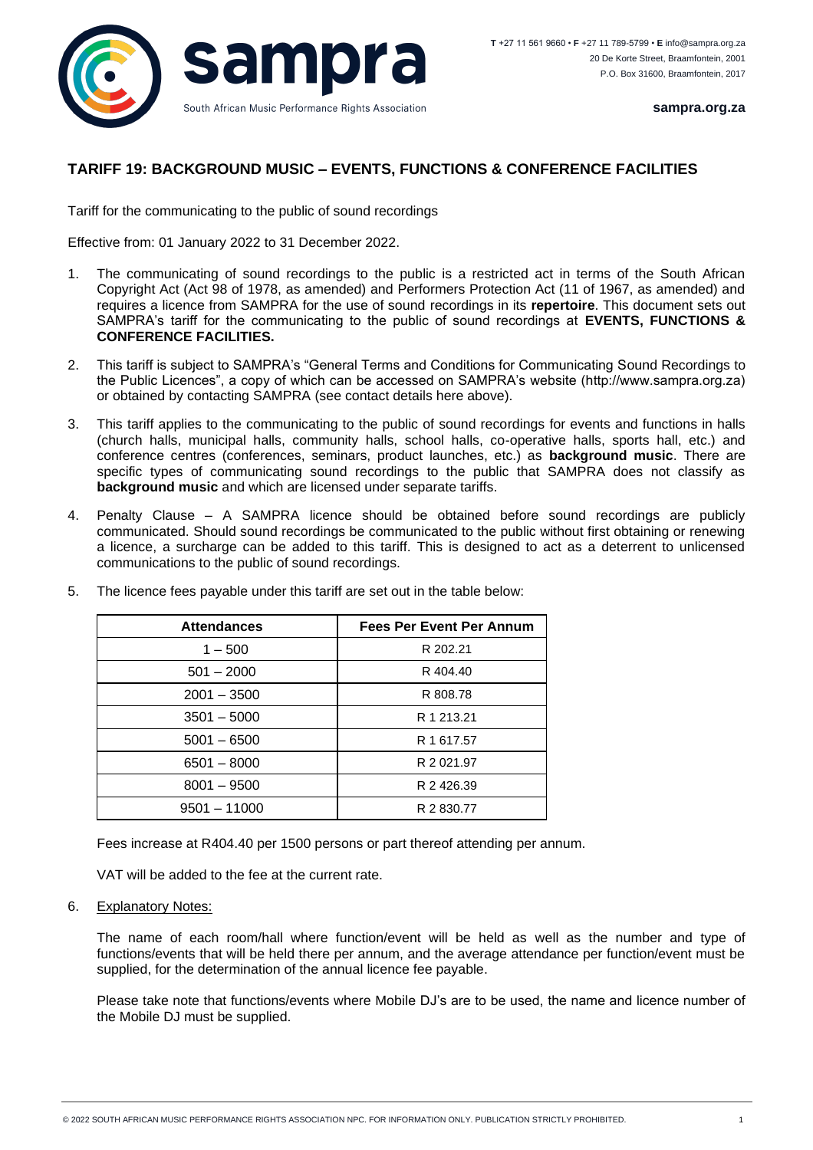

## **TARIFF 19: BACKGROUND MUSIC – EVENTS, FUNCTIONS & CONFERENCE FACILITIES**

Tariff for the communicating to the public of sound recordings

Effective from: 01 January 2022 to 31 December 2022.

- 1. The communicating of sound recordings to the public is a restricted act in terms of the South African Copyright Act (Act 98 of 1978, as amended) and Performers Protection Act (11 of 1967, as amended) and requires a licence from SAMPRA for the use of sound recordings in its **repertoire**. This document sets out SAMPRA's tariff for the communicating to the public of sound recordings at **EVENTS, FUNCTIONS & CONFERENCE FACILITIES.**
- 2. This tariff is subject to SAMPRA's "General Terms and Conditions for Communicating Sound Recordings to the Public Licences", a copy of which can be accessed on SAMPRA's website (http://www.sampra.org.za) or obtained by contacting SAMPRA (see contact details here above).
- 3. This tariff applies to the communicating to the public of sound recordings for events and functions in halls (church halls, municipal halls, community halls, school halls, co-operative halls, sports hall, etc.) and conference centres (conferences, seminars, product launches, etc.) as **background music**. There are specific types of communicating sound recordings to the public that SAMPRA does not classify as **background music** and which are licensed under separate tariffs.
- 4. Penalty Clause A SAMPRA licence should be obtained before sound recordings are publicly communicated. Should sound recordings be communicated to the public without first obtaining or renewing a licence, a surcharge can be added to this tariff. This is designed to act as a deterrent to unlicensed communications to the public of sound recordings.

| <b>Attendances</b> | <b>Fees Per Event Per Annum</b> |
|--------------------|---------------------------------|
| $1 - 500$          | R 202.21                        |
| $501 - 2000$       | R 404.40                        |
| $2001 - 3500$      | R 808.78                        |
| $3501 - 5000$      | R 1 213.21                      |
| $5001 - 6500$      | R 1 617.57                      |
| $6501 - 8000$      | R 2 0 2 1 .9 7                  |
| $8001 - 9500$      | R 2 426.39                      |
| $9501 - 11000$     | R 2 830.77                      |

5. The licence fees payable under this tariff are set out in the table below:

Fees increase at R404.40 per 1500 persons or part thereof attending per annum.

VAT will be added to the fee at the current rate.

6. Explanatory Notes:

The name of each room/hall where function/event will be held as well as the number and type of functions/events that will be held there per annum, and the average attendance per function/event must be supplied, for the determination of the annual licence fee payable.

Please take note that functions/events where Mobile DJ's are to be used, the name and licence number of the Mobile DJ must be supplied.